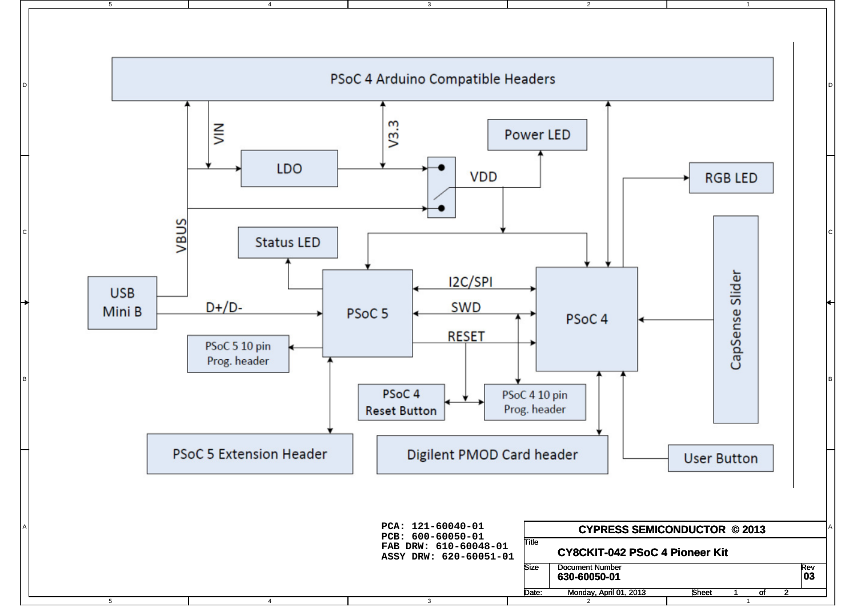